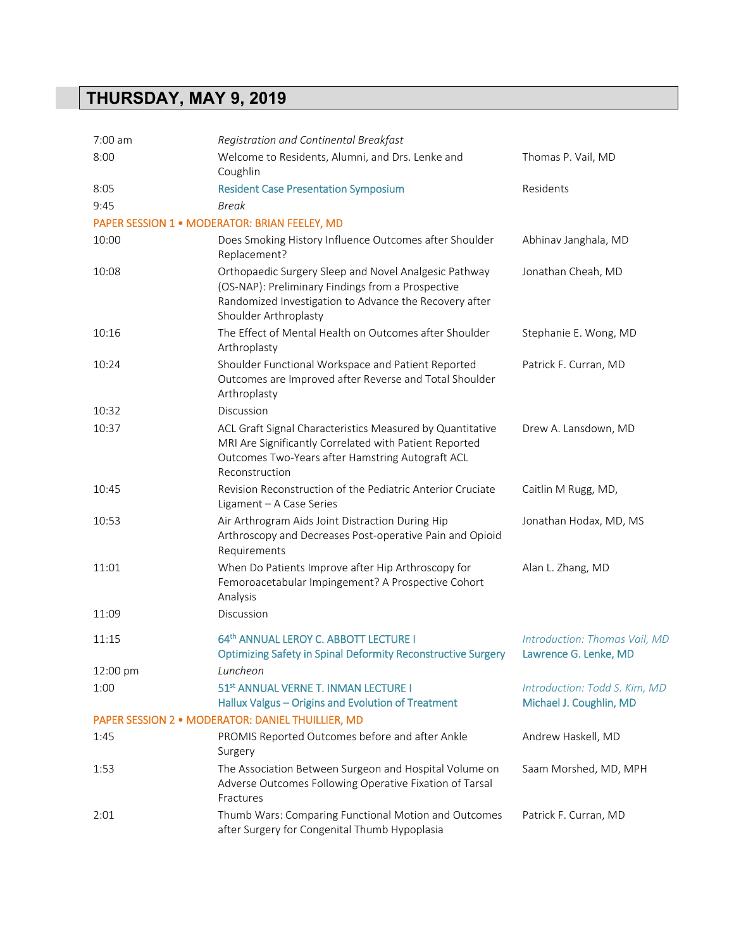## **THURSDAY, MAY 9, 2019**

| 7:00 am  | Registration and Continental Breakfast                                                                                                                                                        |                                                          |
|----------|-----------------------------------------------------------------------------------------------------------------------------------------------------------------------------------------------|----------------------------------------------------------|
| 8:00     | Welcome to Residents, Alumni, and Drs. Lenke and<br>Coughlin                                                                                                                                  | Thomas P. Vail, MD                                       |
| 8:05     | <b>Resident Case Presentation Symposium</b>                                                                                                                                                   | Residents                                                |
| 9:45     | Break                                                                                                                                                                                         |                                                          |
|          | PAPER SESSION 1 · MODERATOR: BRIAN FEELEY, MD                                                                                                                                                 |                                                          |
| 10:00    | Does Smoking History Influence Outcomes after Shoulder<br>Replacement?                                                                                                                        | Abhinav Janghala, MD                                     |
| 10:08    | Orthopaedic Surgery Sleep and Novel Analgesic Pathway<br>(OS-NAP): Preliminary Findings from a Prospective<br>Randomized Investigation to Advance the Recovery after<br>Shoulder Arthroplasty | Jonathan Cheah, MD                                       |
| 10:16    | The Effect of Mental Health on Outcomes after Shoulder<br>Arthroplasty                                                                                                                        | Stephanie E. Wong, MD                                    |
| 10:24    | Shoulder Functional Workspace and Patient Reported<br>Outcomes are Improved after Reverse and Total Shoulder<br>Arthroplasty                                                                  | Patrick F. Curran, MD                                    |
| 10:32    | Discussion                                                                                                                                                                                    |                                                          |
| 10:37    | ACL Graft Signal Characteristics Measured by Quantitative<br>MRI Are Significantly Correlated with Patient Reported<br>Outcomes Two-Years after Hamstring Autograft ACL<br>Reconstruction     | Drew A. Lansdown, MD                                     |
| 10:45    | Revision Reconstruction of the Pediatric Anterior Cruciate<br>Ligament - A Case Series                                                                                                        | Caitlin M Rugg, MD,                                      |
| 10:53    | Air Arthrogram Aids Joint Distraction During Hip<br>Arthroscopy and Decreases Post-operative Pain and Opioid<br>Requirements                                                                  | Jonathan Hodax, MD, MS                                   |
| 11:01    | When Do Patients Improve after Hip Arthroscopy for<br>Femoroacetabular Impingement? A Prospective Cohort<br>Analysis                                                                          | Alan L. Zhang, MD                                        |
| 11:09    | Discussion                                                                                                                                                                                    |                                                          |
| 11:15    | 64th ANNUAL LEROY C. ABBOTT LECTURE I<br><b>Optimizing Safety in Spinal Deformity Reconstructive Surgery</b>                                                                                  | Introduction: Thomas Vail, MD<br>Lawrence G. Lenke, MD   |
| 12:00 pm | Luncheon                                                                                                                                                                                      |                                                          |
| 1:00     | 51 <sup>st</sup> ANNUAL VERNE T. INMAN LECTURE I<br>Hallux Valgus - Origins and Evolution of Treatment                                                                                        | Introduction: Todd S. Kim, MD<br>Michael J. Coughlin, MD |
|          | PAPER SESSION 2 · MODERATOR: DANIEL THUILLIER, MD                                                                                                                                             |                                                          |
| 1:45     | PROMIS Reported Outcomes before and after Ankle<br>Surgery                                                                                                                                    | Andrew Haskell, MD                                       |
| 1:53     | The Association Between Surgeon and Hospital Volume on<br>Adverse Outcomes Following Operative Fixation of Tarsal<br>Fractures                                                                | Saam Morshed, MD, MPH                                    |
| 2:01     | Thumb Wars: Comparing Functional Motion and Outcomes<br>after Surgery for Congenital Thumb Hypoplasia                                                                                         | Patrick F. Curran, MD                                    |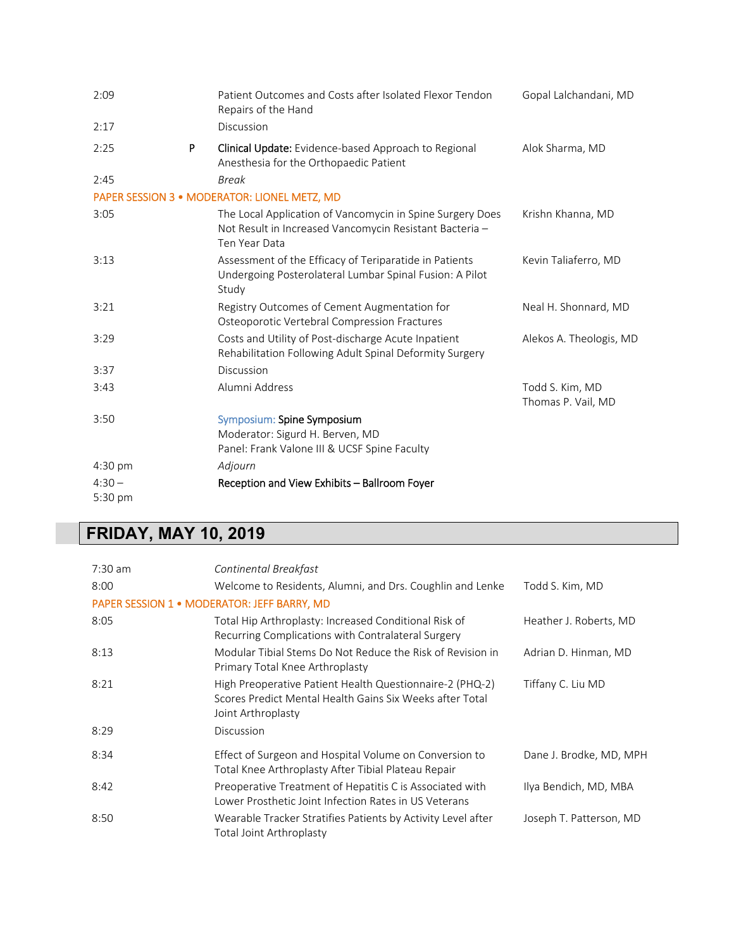| 2:09      | Patient Outcomes and Costs after Isolated Flexor Tendon<br>Repairs of the Hand                                                        | Gopal Lalchandani, MD                 |
|-----------|---------------------------------------------------------------------------------------------------------------------------------------|---------------------------------------|
| 2:17      | Discussion                                                                                                                            |                                       |
| P<br>2:25 | <b>Clinical Update:</b> Evidence-based Approach to Regional<br>Anesthesia for the Orthopaedic Patient                                 | Alok Sharma, MD                       |
| 2:45      | <b>Break</b>                                                                                                                          |                                       |
|           | PAPER SESSION 3 · MODERATOR: LIONEL METZ, MD                                                                                          |                                       |
| 3:05      | The Local Application of Vancomycin in Spine Surgery Does<br>Not Result in Increased Vancomycin Resistant Bacteria -<br>Ten Year Data | Krishn Khanna, MD                     |
| 3:13      | Assessment of the Efficacy of Teriparatide in Patients<br>Undergoing Posterolateral Lumbar Spinal Fusion: A Pilot<br>Study            | Kevin Taliaferro, MD                  |
| 3:21      | Registry Outcomes of Cement Augmentation for<br>Osteoporotic Vertebral Compression Fractures                                          | Neal H. Shonnard, MD                  |
| 3:29      | Costs and Utility of Post-discharge Acute Inpatient<br>Rehabilitation Following Adult Spinal Deformity Surgery                        | Alekos A. Theologis, MD               |
| 3:37      | Discussion                                                                                                                            |                                       |
| 3:43      | Alumni Address                                                                                                                        | Todd S. Kim, MD<br>Thomas P. Vail, MD |
| 3:50      | Symposium: Spine Symposium<br>Moderator: Sigurd H. Berven, MD<br>Panel: Frank Valone III & UCSF Spine Faculty                         |                                       |
| 4:30 pm   | Adjourn                                                                                                                               |                                       |
| $4:30-$   | Reception and View Exhibits - Ballroom Foyer                                                                                          |                                       |
| 5:30 pm   |                                                                                                                                       |                                       |

## **FRIDAY, MAY 10, 2019**

| $7:30$ am | Continental Breakfast                                                                                                                      |                         |
|-----------|--------------------------------------------------------------------------------------------------------------------------------------------|-------------------------|
| 8:00      | Welcome to Residents, Alumni, and Drs. Coughlin and Lenke                                                                                  | Todd S. Kim, MD         |
|           | <b>PAPER SESSION 1 · MODERATOR: JEFF BARRY, MD</b>                                                                                         |                         |
| 8:05      | Total Hip Arthroplasty: Increased Conditional Risk of<br>Recurring Complications with Contralateral Surgery                                | Heather J. Roberts, MD  |
| 8:13      | Modular Tibial Stems Do Not Reduce the Risk of Revision in<br>Primary Total Knee Arthroplasty                                              | Adrian D. Hinman, MD    |
| 8:21      | High Preoperative Patient Health Questionnaire-2 (PHQ-2)<br>Scores Predict Mental Health Gains Six Weeks after Total<br>Joint Arthroplasty | Tiffany C. Liu MD       |
| 8:29      | Discussion                                                                                                                                 |                         |
| 8:34      | Effect of Surgeon and Hospital Volume on Conversion to<br>Total Knee Arthroplasty After Tibial Plateau Repair                              | Dane J. Brodke, MD, MPH |
| 8:42      | Preoperative Treatment of Hepatitis C is Associated with<br>Lower Prosthetic Joint Infection Rates in US Veterans                          | Ilya Bendich, MD, MBA   |
| 8:50      | Wearable Tracker Stratifies Patients by Activity Level after<br>Total Joint Arthroplasty                                                   | Joseph T. Patterson, MD |